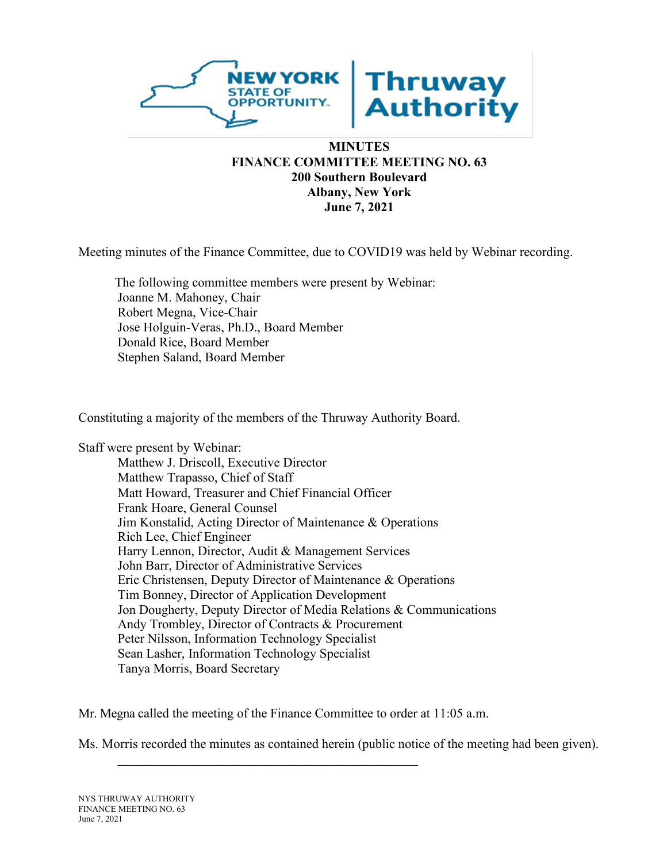

# **FINANCE COMMITTEE MEETING NO. 63 200 Southern Boulevard Albany, New York June 7, 2021**

Meeting minutes of the Finance Committee, due to COVID19 was held by Webinar recording.

The following committee members were present by Webinar: Joanne M. Mahoney, Chair Robert Megna, Vice-Chair Jose Holguin-Veras, Ph.D., Board Member Donald Rice, Board Member Stephen Saland, Board Member

Constituting a majority of the members of the Thruway Authority Board.

Staff were present by Webinar:

Matthew J. Driscoll, Executive Director Matthew Trapasso, Chief of Staff Matt Howard, Treasurer and Chief Financial Officer Frank Hoare, General Counsel Jim Konstalid, Acting Director of Maintenance & Operations Rich Lee, Chief Engineer Harry Lennon, Director, Audit & Management Services John Barr, Director of Administrative Services Eric Christensen, Deputy Director of Maintenance & Operations Tim Bonney, Director of Application Development Jon Dougherty, Deputy Director of Media Relations & Communications Andy Trombley, Director of Contracts & Procurement Peter Nilsson, Information Technology Specialist Sean Lasher, Information Technology Specialist Tanya Morris, Board Secretary

Mr. Megna called the meeting of the Finance Committee to order at 11:05 a.m.

Ms. Morris recorded the minutes as contained herein (public notice of the meeting had been given).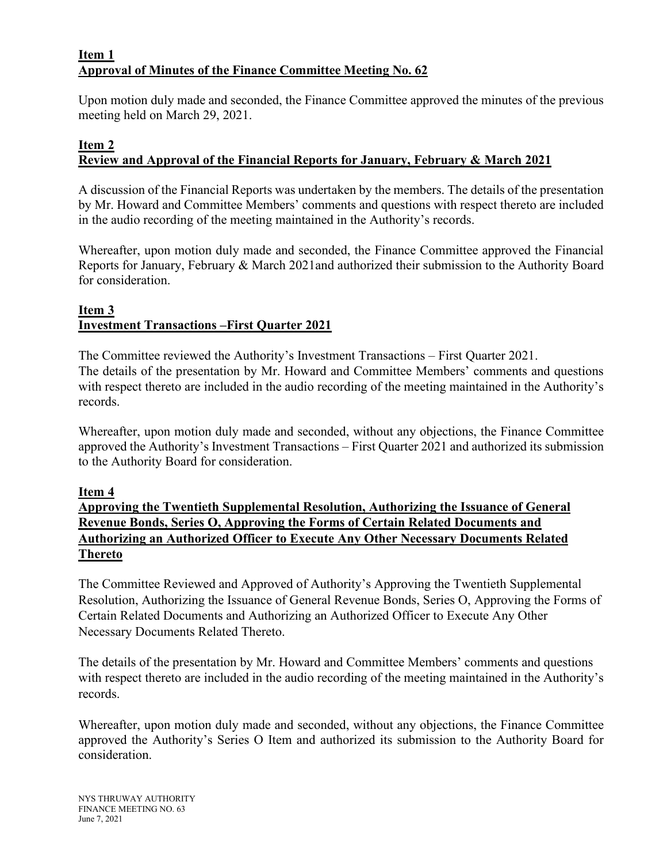## **Item 1 Approval of Minutes of the Finance Committee Meeting No. 62**

Upon motion duly made and seconded, the Finance Committee approved the minutes of the previous meeting held on March 29, 2021.

#### **Item 2 Review and Approval of the Financial Reports for January, February & March 2021**

A discussion of the Financial Reports was undertaken by the members. The details of the presentation by Mr. Howard and Committee Members' comments and questions with respect thereto are included in the audio recording of the meeting maintained in the Authority's records.

Whereafter, upon motion duly made and seconded, the Finance Committee approved the Financial Reports for January, February & March 2021and authorized their submission to the Authority Board for consideration.

#### **Item 3 Investment Transactions –First Quarter 2021**

The Committee reviewed the Authority's Investment Transactions – First Quarter 2021. The details of the presentation by Mr. Howard and Committee Members' comments and questions with respect thereto are included in the audio recording of the meeting maintained in the Authority's records.

Whereafter, upon motion duly made and seconded, without any objections, the Finance Committee approved the Authority's Investment Transactions – First Quarter 2021 and authorized its submission to the Authority Board for consideration.

## **Item 4**

**Approving the Twentieth Supplemental Resolution, Authorizing the Issuance of General Revenue Bonds, Series O, Approving the Forms of Certain Related Documents and Authorizing an Authorized Officer to Execute Any Other Necessary Documents Related Thereto**

The Committee Reviewed and Approved of Authority's Approving the Twentieth Supplemental Resolution, Authorizing the Issuance of General Revenue Bonds, Series O, Approving the Forms of Certain Related Documents and Authorizing an Authorized Officer to Execute Any Other Necessary Documents Related Thereto.

The details of the presentation by Mr. Howard and Committee Members' comments and questions with respect thereto are included in the audio recording of the meeting maintained in the Authority's records.

Whereafter, upon motion duly made and seconded, without any objections, the Finance Committee approved the Authority's Series O Item and authorized its submission to the Authority Board for consideration.